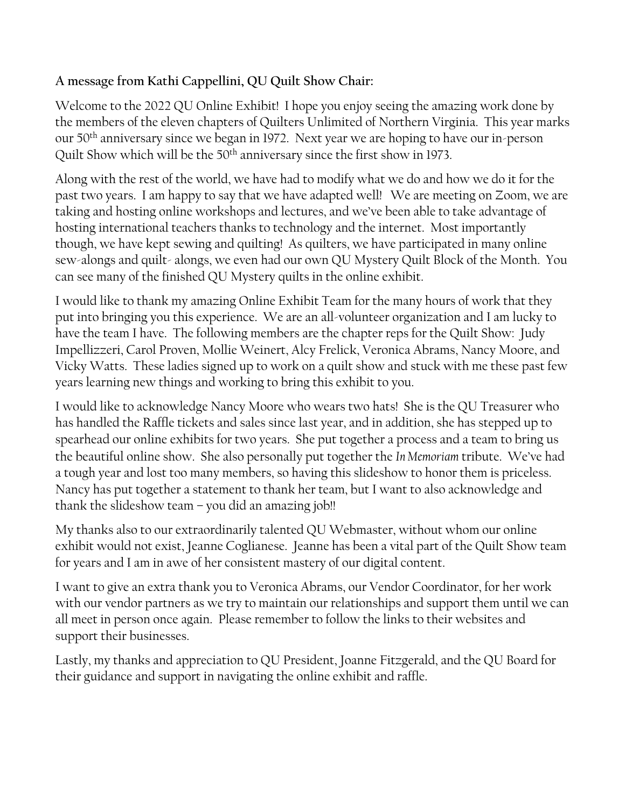## **A message from Kathi Cappellini, QU Quilt Show Chair:**

Welcome to the 2022 QU Online Exhibit! I hope you enjoy seeing the amazing work done by the members of the eleven chapters of Quilters Unlimited of Northern Virginia. This year marks our 50th anniversary since we began in 1972. Next year we are hoping to have our in-person Quilt Show which will be the 50<sup>th</sup> anniversary since the first show in 1973.

Along with the rest of the world, we have had to modify what we do and how we do it for the past two years. I am happy to say that we have adapted well! We are meeting on Zoom, we are taking and hosting online workshops and lectures, and we've been able to take advantage of hosting international teachers thanks to technology and the internet. Most importantly though, we have kept sewing and quilting! As quilters, we have participated in many online sew-alongs and quilt- alongs, we even had our own QU Mystery Quilt Block of the Month. You can see many of the finished QU Mystery quilts in the online exhibit.

I would like to thank my amazing Online Exhibit Team for the many hours of work that they put into bringing you this experience. We are an all-volunteer organization and I am lucky to have the team I have. The following members are the chapter reps for the Quilt Show: Judy Impellizzeri, Carol Proven, Mollie Weinert, Alcy Frelick, Veronica Abrams, Nancy Moore, and Vicky Watts. These ladies signed up to work on a quilt show and stuck with me these past few years learning new things and working to bring this exhibit to you.

I would like to acknowledge Nancy Moore who wears two hats! She is the QU Treasurer who has handled the Raffle tickets and sales since last year, and in addition, she has stepped up to spearhead our online exhibits for two years. She put together a process and a team to bring us the beautiful online show. She also personally put together the *In Memoriam* tribute. We've had a tough year and lost too many members, so having this slideshow to honor them is priceless. Nancy has put together a statement to thank her team, but I want to also acknowledge and thank the slideshow team  $-$  you did an amazing job!!

My thanks also to our extraordinarily talented QU Webmaster, without whom our online exhibit would not exist, Jeanne Coglianese. Jeanne has been a vital part of the Quilt Show team for years and I am in awe of her consistent mastery of our digital content.

I want to give an extra thank you to Veronica Abrams, our Vendor Coordinator, for her work with our vendor partners as we try to maintain our relationships and support them until we can all meet in person once again. Please remember to follow the links to their websites and support their businesses.

Lastly, my thanks and appreciation to QU President, Joanne Fitzgerald, and the QU Board for their guidance and support in navigating the online exhibit and raffle.